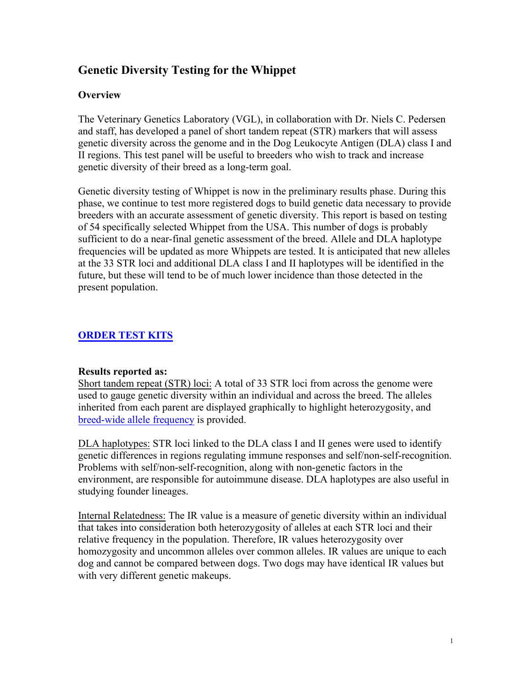# **Genetic Diversity Testing for the Whippet**

#### **Overview**

The Veterinary Genetics Laboratory (VGL), in collaboration with Dr. Niels C. Pedersen and staff, has developed a panel of short tandem repeat (STR) markers that will assess genetic diversity across the genome and in the Dog Leukocyte Antigen (DLA) class I and II regions. This test panel will be useful to breeders who wish to track and increase genetic diversity of their breed as a long-term goal.

Genetic diversity testing of Whippet is now in the preliminary results phase. During this phase, we continue to test more registered dogs to build genetic data necessary to provide breeders with an accurate assessment of genetic diversity. This report is based on testing of 54 specifically selected Whippet from the USA. This number of dogs is probably sufficient to do a near-final genetic assessment of the breed. Allele and DLA haplotype frequencies will be updated as more Whippets are tested. It is anticipated that new alleles at the 33 STR loci and additional DLA class I and II haplotypes will be identified in the future, but these will tend to be of much lower incidence than those detected in the present population.

### **[ORDER TEST KITS](https://www.vgl.ucdavis.edu/myvgl/dogsporder.html)**

#### **Results reported as:**

Short tandem repeat (STR) loci: A total of 33 STR loci from across the genome were used to gauge genetic diversity within an individual and across the breed. The alleles inherited from each parent are displayed graphically to highlight heterozygosity, and [breed-wide allele frequency](https://www.vgl.ucdavis.edu/services/dog/GeneticDiversityInWhippetSTRInfo.php) is provided.

DLA haplotypes: STR loci linked to the DLA class I and II genes were used to identify genetic differences in regions regulating immune responses and self/non-self-recognition. Problems with self/non-self-recognition, along with non-genetic factors in the environment, are responsible for autoimmune disease. DLA haplotypes are also useful in studying founder lineages.

Internal Relatedness: The IR value is a measure of genetic diversity within an individual that takes into consideration both heterozygosity of alleles at each STR loci and their relative frequency in the population. Therefore, IR values heterozygosity over homozygosity and uncommon alleles over common alleles. IR values are unique to each dog and cannot be compared between dogs. Two dogs may have identical IR values but with very different genetic makeups.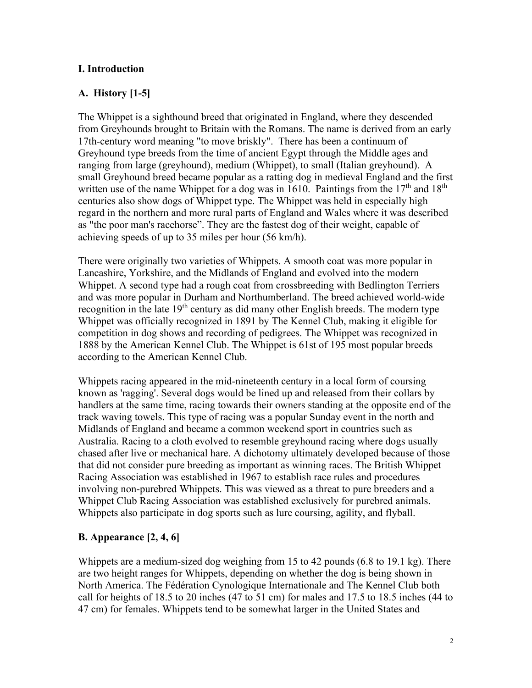### **I. Introduction**

### **A. History [1-5]**

The Whippet is a sighthound breed that originated in England, where they descended from Greyhounds brought to Britain with the Romans. The name is derived from an early 17th-century word meaning "to move briskly". There has been a continuum of Greyhound type breeds from the time of ancient Egypt through the Middle ages and ranging from large (greyhound), medium (Whippet), to small (Italian greyhound). A small Greyhound breed became popular as a ratting dog in medieval England and the first written use of the name Whippet for a dog was in 1610. Paintings from the  $17<sup>th</sup>$  and  $18<sup>th</sup>$ centuries also show dogs of Whippet type. The Whippet was held in especially high regard in the northern and more rural parts of England and Wales where it was described as "the poor man's racehorse". They are the fastest dog of their weight, capable of achieving speeds of up to 35 miles per hour (56 km/h).

There were originally two varieties of Whippets. A smooth coat was more popular in Lancashire, Yorkshire, and the Midlands of England and evolved into the modern Whippet. A second type had a rough coat from crossbreeding with Bedlington Terriers and was more popular in Durham and Northumberland. The breed achieved world-wide recognition in the late  $19<sup>th</sup>$  century as did many other English breeds. The modern type Whippet was officially recognized in 1891 by The Kennel Club, making it eligible for competition in dog shows and recording of pedigrees. The Whippet was recognized in 1888 by the American Kennel Club. The Whippet is 61st of 195 most popular breeds according to the American Kennel Club.

Whippets racing appeared in the mid-nineteenth century in a local form of coursing known as 'ragging'. Several dogs would be lined up and released from their collars by handlers at the same time, racing towards their owners standing at the opposite end of the track waving towels. This type of racing was a popular Sunday event in the north and Midlands of England and became a common weekend sport in countries such as Australia. Racing to a cloth evolved to resemble greyhound racing where dogs usually chased after live or mechanical hare. A dichotomy ultimately developed because of those that did not consider pure breeding as important as winning races. The British Whippet Racing Association was established in 1967 to establish race rules and procedures involving non-purebred Whippets. This was viewed as a threat to pure breeders and a Whippet Club Racing Association was established exclusively for purebred animals. Whippets also participate in dog sports such as lure coursing, agility, and flyball.

#### **B. Appearance [2, 4, 6]**

Whippets are a medium-sized dog weighing from 15 to 42 pounds (6.8 to 19.1 kg). There are two height ranges for Whippets, depending on whether the dog is being shown in North America. The Fédération Cynologique Internationale and The Kennel Club both call for heights of 18.5 to 20 inches (47 to 51 cm) for males and 17.5 to 18.5 inches (44 to 47 cm) for females. Whippets tend to be somewhat larger in the United States and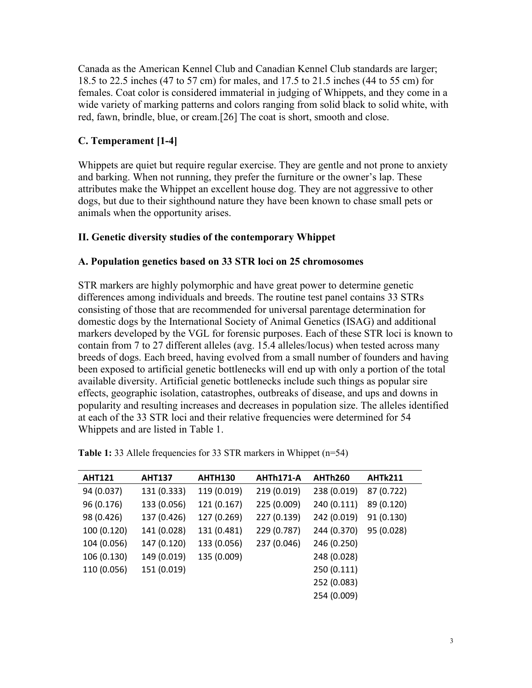Canada as the American Kennel Club and Canadian Kennel Club standards are larger; 18.5 to 22.5 inches (47 to 57 cm) for males, and 17.5 to 21.5 inches (44 to 55 cm) for females. Coat color is considered immaterial in judging of Whippets, and they come in a wide variety of marking patterns and colors ranging from solid black to solid white, with red, fawn, brindle, blue, or cream.[26] The coat is short, smooth and close.

#### **C. Temperament [1-4]**

Whippets are quiet but require regular exercise. They are gentle and not prone to anxiety and barking. When not running, they prefer the furniture or the owner's lap. These attributes make the Whippet an excellent house dog. They are not aggressive to other dogs, but due to their sighthound nature they have been known to chase small pets or animals when the opportunity arises.

#### **II. Genetic diversity studies of the contemporary Whippet**

#### **A. Population genetics based on 33 STR loci on 25 chromosomes**

STR markers are highly polymorphic and have great power to determine genetic differences among individuals and breeds. The routine test panel contains 33 STRs consisting of those that are recommended for universal parentage determination for domestic dogs by the International Society of Animal Genetics (ISAG) and additional markers developed by the VGL for forensic purposes. Each of these STR loci is known to contain from 7 to 27 different alleles (avg. 15.4 alleles/locus) when tested across many breeds of dogs. Each breed, having evolved from a small number of founders and having been exposed to artificial genetic bottlenecks will end up with only a portion of the total available diversity. Artificial genetic bottlenecks include such things as popular sire effects, geographic isolation, catastrophes, outbreaks of disease, and ups and downs in popularity and resulting increases and decreases in population size. The alleles identified at each of the 33 STR loci and their relative frequencies were determined for 54 Whippets and are listed in Table 1.

| <b>AHT121</b> | <b>AHT137</b> | <b>AHTH130</b> | AHTh171-A   | <b>AHTh260</b> | <b>AHTk211</b> |
|---------------|---------------|----------------|-------------|----------------|----------------|
| 94 (0.037)    | 131 (0.333)   | 119 (0.019)    | 219 (0.019) | 238 (0.019)    | 87 (0.722)     |
| 96 (0.176)    | 133 (0.056)   | 121 (0.167)    | 225 (0.009) | 240 (0.111)    | 89 (0.120)     |
| 98 (0.426)    | 137 (0.426)   | 127 (0.269)    | 227 (0.139) | 242 (0.019)    | 91 (0.130)     |
| 100 (0.120)   | 141 (0.028)   | 131 (0.481)    | 229 (0.787) | 244 (0.370)    | 95 (0.028)     |
| 104 (0.056)   | 147 (0.120)   | 133 (0.056)    | 237 (0.046) | 246 (0.250)    |                |
| 106 (0.130)   | 149 (0.019)   | 135 (0.009)    |             | 248 (0.028)    |                |
| 110 (0.056)   | 151 (0.019)   |                |             | 250 (0.111)    |                |
|               |               |                |             | 252 (0.083)    |                |
|               |               |                |             | 254 (0.009)    |                |
|               |               |                |             |                |                |

| Table 1: 33 Allele frequencies for 33 STR markers in Whippet (n=54) |  |  |  |
|---------------------------------------------------------------------|--|--|--|
|---------------------------------------------------------------------|--|--|--|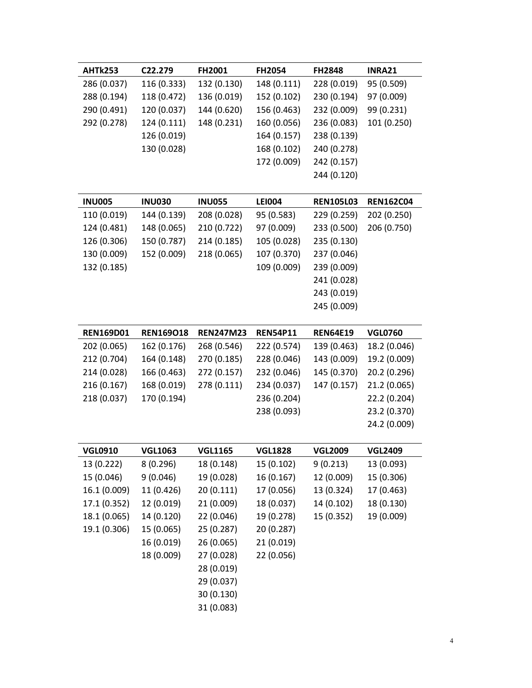| AHTk253     | C <sub>22</sub> .279 | <b>FH2001</b> | <b>FH2054</b> | <b>FH2848</b> | INRA21      |
|-------------|----------------------|---------------|---------------|---------------|-------------|
| 286 (0.037) | 116 (0.333)          | 132 (0.130)   | 148 (0.111)   | 228 (0.019)   | 95 (0.509)  |
| 288 (0.194) | 118 (0.472)          | 136 (0.019)   | 152 (0.102)   | 230 (0.194)   | 97 (0.009)  |
| 290 (0.491) | 120 (0.037)          | 144 (0.620)   | 156 (0.463)   | 232 (0.009)   | 99 (0.231)  |
| 292 (0.278) | 124 (0.111)          | 148 (0.231)   | 160 (0.056)   | 236 (0.083)   | 101 (0.250) |
|             | 126 (0.019)          |               | 164 (0.157)   | 238 (0.139)   |             |
|             | 130 (0.028)          |               | 168 (0.102)   | 240 (0.278)   |             |
|             |                      |               | 172 (0.009)   | 242 (0.157)   |             |
|             |                      |               |               | 244 (0.120)   |             |
|             |                      |               |               |               |             |

| <b>INU005</b> | <b>INU030</b> | <b>INU055</b> | <b>LEI004</b> | <b>REN105L03</b> | <b>REN162C04</b> |
|---------------|---------------|---------------|---------------|------------------|------------------|
| 110 (0.019)   | 144 (0.139)   | 208 (0.028)   | 95 (0.583)    | 229 (0.259)      | 202 (0.250)      |
| 124 (0.481)   | 148 (0.065)   | 210 (0.722)   | 97 (0.009)    | 233 (0.500)      | 206 (0.750)      |
| 126 (0.306)   | 150 (0.787)   | 214 (0.185)   | 105 (0.028)   | 235 (0.130)      |                  |
| 130 (0.009)   | 152 (0.009)   | 218 (0.065)   | 107 (0.370)   | 237 (0.046)      |                  |
| 132 (0.185)   |               |               | 109 (0.009)   | 239 (0.009)      |                  |
|               |               |               |               | 241 (0.028)      |                  |
|               |               |               |               | 243 (0.019)      |                  |
|               |               |               |               | 245 (0.009)      |                  |

| <b>REN169D01</b> | <b>REN169018</b> | <b>REN247M23</b> | <b>REN54P11</b> | <b>REN64E19</b> | <b>VGL0760</b> |
|------------------|------------------|------------------|-----------------|-----------------|----------------|
| 202 (0.065)      | 162 (0.176)      | 268 (0.546)      | 222 (0.574)     | 139 (0.463)     | 18.2 (0.046)   |
| 212 (0.704)      | 164 (0.148)      | 270 (0.185)      | 228 (0.046)     | 143 (0.009)     | 19.2 (0.009)   |
| 214 (0.028)      | 166 (0.463)      | 272 (0.157)      | 232 (0.046)     | 145 (0.370)     | 20.2 (0.296)   |
| 216 (0.167)      | 168 (0.019)      | 278 (0.111)      | 234 (0.037)     | 147 (0.157)     | 21.2 (0.065)   |
| 218 (0.037)      | 170 (0.194)      |                  | 236 (0.204)     |                 | 22.2 (0.204)   |
|                  |                  |                  | 238 (0.093)     |                 | 23.2 (0.370)   |
|                  |                  |                  |                 |                 | 24.2 (0.009)   |

| <b>VGL0910</b> | <b>VGL1063</b> | <b>VGL1165</b> | <b>VGL1828</b> | <b>VGL2009</b> | <b>VGL2409</b> |
|----------------|----------------|----------------|----------------|----------------|----------------|
| 13 (0.222)     | 8(0.296)       | 18 (0.148)     | 15 (0.102)     | 9(0.213)       | 13 (0.093)     |
| 15 (0.046)     | 9(0.046)       | 19 (0.028)     | 16 (0.167)     | 12 (0.009)     | 15 (0.306)     |
| 16.1 (0.009)   | 11 (0.426)     | 20(0.111)      | 17 (0.056)     | 13 (0.324)     | 17 (0.463)     |
| 17.1 (0.352)   | 12 (0.019)     | 21 (0.009)     | 18 (0.037)     | 14 (0.102)     | 18 (0.130)     |
| 18.1 (0.065)   | 14 (0.120)     | 22 (0.046)     | 19 (0.278)     | 15 (0.352)     | 19 (0.009)     |
| 19.1 (0.306)   | 15 (0.065)     | 25 (0.287)     | 20 (0.287)     |                |                |
|                | 16 (0.019)     | 26 (0.065)     | 21 (0.019)     |                |                |
|                | 18 (0.009)     | 27 (0.028)     | 22 (0.056)     |                |                |
|                |                | 28 (0.019)     |                |                |                |
|                |                | 29 (0.037)     |                |                |                |
|                |                | 30 (0.130)     |                |                |                |
|                |                | 31 (0.083)     |                |                |                |
|                |                |                |                |                |                |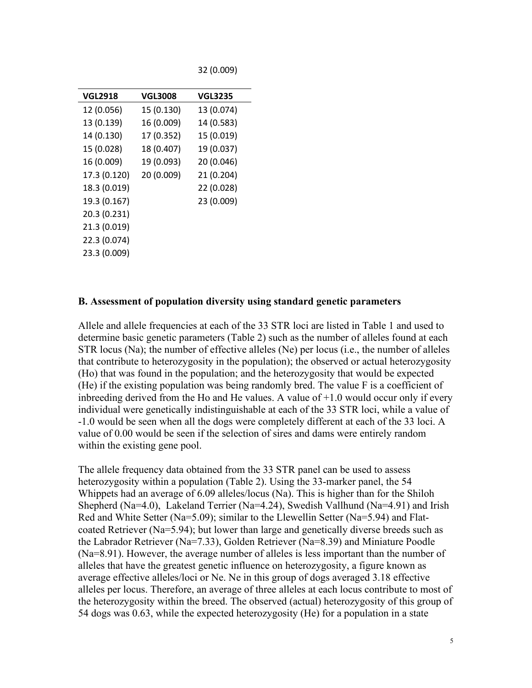32 (0.009)

| <b>VGL2918</b> | <b>VGL3008</b> | VGL3235    |
|----------------|----------------|------------|
| 12 (0.056)     | 15 (0.130)     | 13 (0.074) |
| 13 (0.139)     | 16 (0.009)     | 14 (0.583) |
| 14 (0.130)     | 17 (0.352)     | 15 (0.019) |
| 15 (0.028)     | 18 (0.407)     | 19 (0.037) |
| 16 (0.009)     | 19 (0.093)     | 20 (0.046) |
| 17.3 (0.120)   | 20 (0.009)     | 21 (0.204) |
| 18.3 (0.019)   |                | 22 (0.028) |
| 19.3 (0.167)   |                | 23 (0.009) |
| 20.3 (0.231)   |                |            |
| 21.3 (0.019)   |                |            |
| 22.3 (0.074)   |                |            |
| 23.3 (0.009)   |                |            |

#### **B. Assessment of population diversity using standard genetic parameters**

Allele and allele frequencies at each of the 33 STR loci are listed in Table 1 and used to determine basic genetic parameters (Table 2) such as the number of alleles found at each STR locus (Na); the number of effective alleles (Ne) per locus (i.e., the number of alleles that contribute to heterozygosity in the population); the observed or actual heterozygosity (Ho) that was found in the population; and the heterozygosity that would be expected (He) if the existing population was being randomly bred. The value F is a coefficient of inbreeding derived from the Ho and He values. A value of +1.0 would occur only if every individual were genetically indistinguishable at each of the 33 STR loci, while a value of -1.0 would be seen when all the dogs were completely different at each of the 33 loci. A value of 0.00 would be seen if the selection of sires and dams were entirely random within the existing gene pool.

The allele frequency data obtained from the 33 STR panel can be used to assess heterozygosity within a population (Table 2). Using the 33-marker panel, the 54 Whippets had an average of 6.09 alleles/locus (Na). This is higher than for the Shiloh Shepherd (Na=4.0), Lakeland Terrier (Na=4.24), Swedish Vallhund (Na=4.91) and Irish Red and White Setter (Na=5.09); similar to the Llewellin Setter (Na=5.94) and Flatcoated Retriever (Na=5.94); but lower than large and genetically diverse breeds such as the Labrador Retriever (Na=7.33), Golden Retriever (Na=8.39) and Miniature Poodle (Na=8.91). However, the average number of alleles is less important than the number of alleles that have the greatest genetic influence on heterozygosity, a figure known as average effective alleles/loci or Ne. Ne in this group of dogs averaged 3.18 effective alleles per locus. Therefore, an average of three alleles at each locus contribute to most of the heterozygosity within the breed. The observed (actual) heterozygosity of this group of 54 dogs was 0.63, while the expected heterozygosity (He) for a population in a state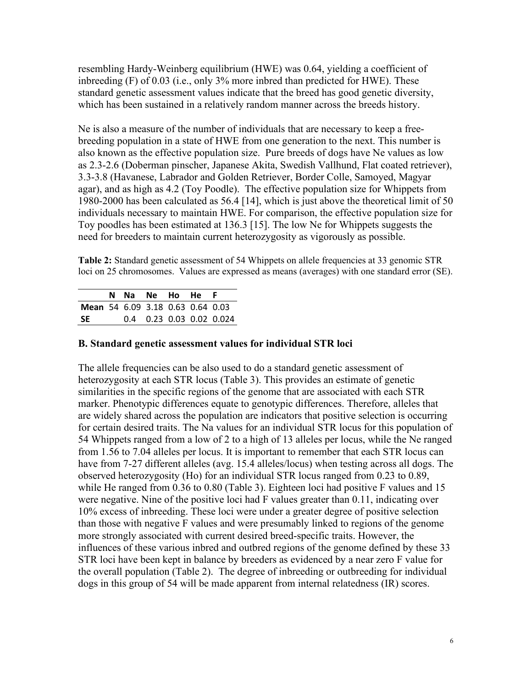resembling Hardy-Weinberg equilibrium (HWE) was 0.64, yielding a coefficient of inbreeding (F) of 0.03 (i.e., only 3% more inbred than predicted for HWE). These standard genetic assessment values indicate that the breed has good genetic diversity, which has been sustained in a relatively random manner across the breeds history.

Ne is also a measure of the number of individuals that are necessary to keep a freebreeding population in a state of HWE from one generation to the next. This number is also known as the effective population size. Pure breeds of dogs have Ne values as low as 2.3-2.6 (Doberman pinscher, Japanese Akita, Swedish Vallhund, Flat coated retriever), 3.3-3.8 (Havanese, Labrador and Golden Retriever, Border Colle, Samoyed, Magyar agar), and as high as 4.2 (Toy Poodle). The effective population size for Whippets from 1980-2000 has been calculated as 56.4 [14], which is just above the theoretical limit of 50 individuals necessary to maintain HWE. For comparison, the effective population size for Toy poodles has been estimated at 136.3 [15]. The low Ne for Whippets suggests the need for breeders to maintain current heterozygosity as vigorously as possible.

**Table 2:** Standard genetic assessment of 54 Whippets on allele frequencies at 33 genomic STR loci on 25 chromosomes. Values are expressed as means (averages) with one standard error (SE).

|                                  |  | N Na Ne Ho He |  | - F                      |
|----------------------------------|--|---------------|--|--------------------------|
| Mean 54 6.09 3.18 0.63 0.64 0.03 |  |               |  |                          |
| -SE                              |  |               |  | 0.4 0.23 0.03 0.02 0.024 |

#### **B. Standard genetic assessment values for individual STR loci**

The allele frequencies can be also used to do a standard genetic assessment of heterozygosity at each STR locus (Table 3). This provides an estimate of genetic similarities in the specific regions of the genome that are associated with each STR marker. Phenotypic differences equate to genotypic differences. Therefore, alleles that are widely shared across the population are indicators that positive selection is occurring for certain desired traits. The Na values for an individual STR locus for this population of 54 Whippets ranged from a low of 2 to a high of 13 alleles per locus, while the Ne ranged from 1.56 to 7.04 alleles per locus. It is important to remember that each STR locus can have from 7-27 different alleles (avg. 15.4 alleles/locus) when testing across all dogs. The observed heterozygosity (Ho) for an individual STR locus ranged from 0.23 to 0.89, while He ranged from 0.36 to 0.80 (Table 3). Eighteen loci had positive F values and 15 were negative. Nine of the positive loci had F values greater than 0.11, indicating over 10% excess of inbreeding. These loci were under a greater degree of positive selection than those with negative F values and were presumably linked to regions of the genome more strongly associated with current desired breed-specific traits. However, the influences of these various inbred and outbred regions of the genome defined by these 33 STR loci have been kept in balance by breeders as evidenced by a near zero F value for the overall population (Table 2). The degree of inbreeding or outbreeding for individual dogs in this group of 54 will be made apparent from internal relatedness (IR) scores.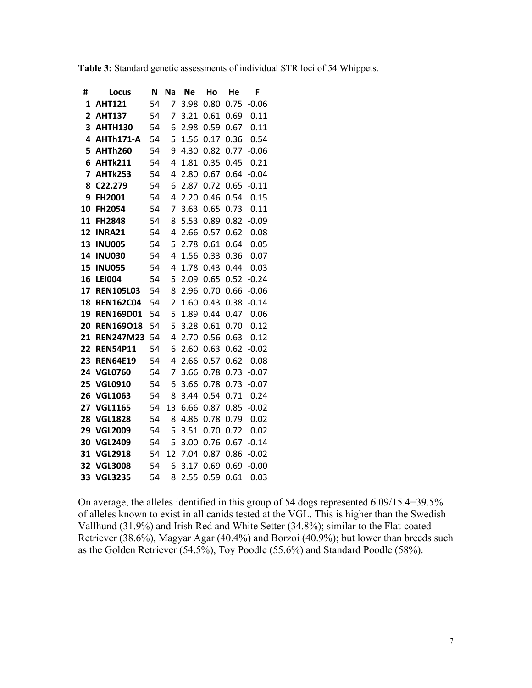| #  | Locus            | N  | Na | <b>Ne</b> | Ho   | He   | F       |
|----|------------------|----|----|-----------|------|------|---------|
| 1  | <b>AHT121</b>    | 54 | 7  | 3.98      | 0.80 | 0.75 | $-0.06$ |
| 2  | <b>AHT137</b>    | 54 | 7  | 3.21      | 0.61 | 0.69 | 0.11    |
| 3  | <b>AHTH130</b>   | 54 | 6  | 2.98      | 0.59 | 0.67 | 0.11    |
| 4  | AHTh171-A        | 54 | 5  | 1.56      | 0.17 | 0.36 | 0.54    |
| 5  | <b>AHTh260</b>   | 54 | 9  | 4.30      | 0.82 | 0.77 | $-0.06$ |
| 6  | <b>AHTk211</b>   | 54 | 4  | 1.81      | 0.35 | 0.45 | 0.21    |
| 7  | <b>AHTk253</b>   | 54 | 4  | 2.80      | 0.67 | 0.64 | $-0.04$ |
| 8  | C22.279          | 54 | 6  | 2.87      | 0.72 | 0.65 | $-0.11$ |
| 9  | FH2001           | 54 | 4  | 2.20      | 0.46 | 0.54 | 0.15    |
| 10 | FH2054           | 54 | 7  | 3.63      | 0.65 | 0.73 | 0.11    |
| 11 | <b>FH2848</b>    | 54 | 8  | 5.53      | 0.89 | 0.82 | $-0.09$ |
| 12 | <b>INRA21</b>    | 54 | 4  | 2.66      | 0.57 | 0.62 | 0.08    |
| 13 | <b>INU005</b>    | 54 | 5  | 2.78      | 0.61 | 0.64 | 0.05    |
| 14 | <b>INU030</b>    | 54 | 4  | 1.56      | 0.33 | 0.36 | 0.07    |
| 15 | <b>INU055</b>    | 54 | 4  | 1.78      | 0.43 | 0.44 | 0.03    |
| 16 | <b>LEI004</b>    | 54 | 5  | 2.09      | 0.65 | 0.52 | $-0.24$ |
| 17 | <b>REN105L03</b> | 54 | 8  | 2.96      | 0.70 | 0.66 | $-0.06$ |
| 18 | <b>REN162C04</b> | 54 | 2  | 1.60      | 0.43 | 0.38 | $-0.14$ |
| 19 | <b>REN169D01</b> | 54 | 5  | 1.89      | 0.44 | 0.47 | 0.06    |
| 20 | <b>REN169018</b> | 54 | 5  | 3.28      | 0.61 | 0.70 | 0.12    |
| 21 | <b>REN247M23</b> | 54 | 4  | 2.70      | 0.56 | 0.63 | 0.12    |
| 22 | <b>REN54P11</b>  | 54 | 6  | 2.60      | 0.63 | 0.62 | $-0.02$ |
| 23 | <b>REN64E19</b>  | 54 | 4  | 2.66      | 0.57 | 0.62 | 0.08    |
| 24 | <b>VGL0760</b>   | 54 | 7  | 3.66      | 0.78 | 0.73 | $-0.07$ |
| 25 | <b>VGL0910</b>   | 54 | 6  | 3.66      | 0.78 | 0.73 | $-0.07$ |
| 26 | <b>VGL1063</b>   | 54 | 8  | 3.44      | 0.54 | 0.71 | 0.24    |
| 27 | <b>VGL1165</b>   | 54 | 13 | 6.66      | 0.87 | 0.85 | $-0.02$ |
| 28 | <b>VGL1828</b>   | 54 | 8  | 4.86      | 0.78 | 0.79 | 0.02    |
| 29 | <b>VGL2009</b>   | 54 | 5  | 3.51      | 0.70 | 0.72 | 0.02    |
| 30 | <b>VGL2409</b>   | 54 | 5  | 3.00      | 0.76 | 0.67 | $-0.14$ |
| 31 | <b>VGL2918</b>   | 54 | 12 | 7.04      | 0.87 | 0.86 | $-0.02$ |
| 32 | <b>VGL3008</b>   | 54 | 6  | 3.17      | 0.69 | 0.69 | $-0.00$ |
| 33 | <b>VGL3235</b>   | 54 | 8  | 2.55      | 0.59 | 0.61 | 0.03    |

**Table 3:** Standard genetic assessments of individual STR loci of 54 Whippets.

On average, the alleles identified in this group of 54 dogs represented 6.09/15.4=39.5% of alleles known to exist in all canids tested at the VGL. This is higher than the Swedish Vallhund (31.9%) and Irish Red and White Setter (34.8%); similar to the Flat-coated Retriever (38.6%), Magyar Agar (40.4%) and Borzoi (40.9%); but lower than breeds such as the Golden Retriever (54.5%), Toy Poodle (55.6%) and Standard Poodle (58%).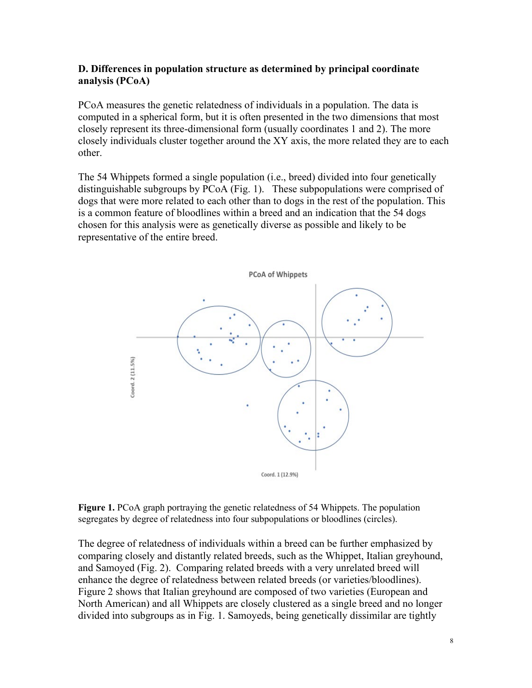#### **D. Differences in population structure as determined by principal coordinate analysis (PCoA)**

PCoA measures the genetic relatedness of individuals in a population. The data is computed in a spherical form, but it is often presented in the two dimensions that most closely represent its three-dimensional form (usually coordinates 1 and 2). The more closely individuals cluster together around the XY axis, the more related they are to each other.

The 54 Whippets formed a single population (i.e., breed) divided into four genetically distinguishable subgroups by PCoA (Fig. 1). These subpopulations were comprised of dogs that were more related to each other than to dogs in the rest of the population. This is a common feature of bloodlines within a breed and an indication that the 54 dogs chosen for this analysis were as genetically diverse as possible and likely to be representative of the entire breed.



**Figure 1.** PCoA graph portraying the genetic relatedness of 54 Whippets. The population segregates by degree of relatedness into four subpopulations or bloodlines (circles).

The degree of relatedness of individuals within a breed can be further emphasized by comparing closely and distantly related breeds, such as the Whippet, Italian greyhound, and Samoyed (Fig. 2). Comparing related breeds with a very unrelated breed will enhance the degree of relatedness between related breeds (or varieties/bloodlines). Figure 2 shows that Italian greyhound are composed of two varieties (European and North American) and all Whippets are closely clustered as a single breed and no longer divided into subgroups as in Fig. 1. Samoyeds, being genetically dissimilar are tightly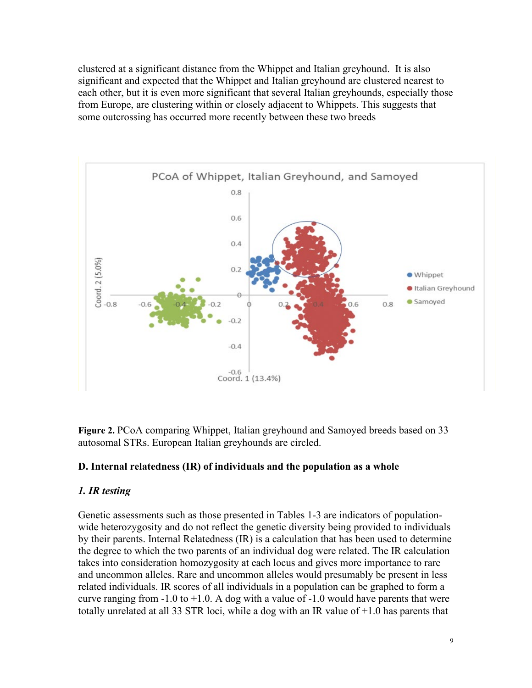clustered at a significant distance from the Whippet and Italian greyhound. It is also significant and expected that the Whippet and Italian greyhound are clustered nearest to each other, but it is even more significant that several Italian greyhounds, especially those from Europe, are clustering within or closely adjacent to Whippets. This suggests that some outcrossing has occurred more recently between these two breeds



**Figure 2.** PCoA comparing Whippet, Italian greyhound and Samoyed breeds based on 33 autosomal STRs. European Italian greyhounds are circled.

#### **D. Internal relatedness (IR) of individuals and the population as a whole**

#### *1. IR testing*

Genetic assessments such as those presented in Tables 1-3 are indicators of populationwide heterozygosity and do not reflect the genetic diversity being provided to individuals by their parents. Internal Relatedness (IR) is a calculation that has been used to determine the degree to which the two parents of an individual dog were related. The IR calculation takes into consideration homozygosity at each locus and gives more importance to rare and uncommon alleles. Rare and uncommon alleles would presumably be present in less related individuals. IR scores of all individuals in a population can be graphed to form a curve ranging from  $-1.0$  to  $+1.0$ . A dog with a value of  $-1.0$  would have parents that were totally unrelated at all 33 STR loci, while a dog with an IR value of +1.0 has parents that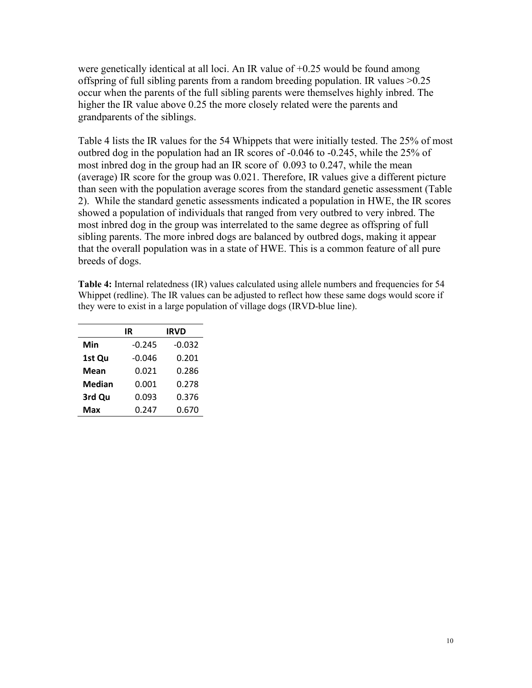were genetically identical at all loci. An IR value of  $+0.25$  would be found among offspring of full sibling parents from a random breeding population. IR values >0.25 occur when the parents of the full sibling parents were themselves highly inbred. The higher the IR value above 0.25 the more closely related were the parents and grandparents of the siblings.

Table 4 lists the IR values for the 54 Whippets that were initially tested. The 25% of most outbred dog in the population had an IR scores of -0.046 to -0.245, while the 25% of most inbred dog in the group had an IR score of 0.093 to 0.247, while the mean (average) IR score for the group was 0.021. Therefore, IR values give a different picture than seen with the population average scores from the standard genetic assessment (Table 2). While the standard genetic assessments indicated a population in HWE, the IR scores showed a population of individuals that ranged from very outbred to very inbred. The most inbred dog in the group was interrelated to the same degree as offspring of full sibling parents. The more inbred dogs are balanced by outbred dogs, making it appear that the overall population was in a state of HWE. This is a common feature of all pure breeds of dogs.

**Table 4:** Internal relatedness (IR) values calculated using allele numbers and frequencies for 54 Whippet (redline). The IR values can be adjusted to reflect how these same dogs would score if they were to exist in a large population of village dogs (IRVD-blue line).

|        | IR       | <b>IRVD</b> |
|--------|----------|-------------|
| Min    | $-0.245$ | $-0.032$    |
| 1st Qu | $-0.046$ | 0.201       |
| Mean   | 0.021    | 0.286       |
| Median | 0.001    | 0.278       |
| 3rd Qu | 0.093    | 0.376       |
| Max    | 0.247    | 0.670       |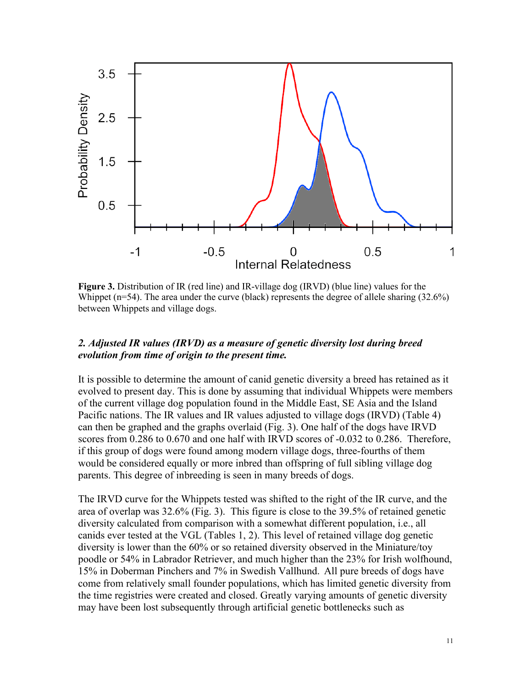

**Figure 3.** Distribution of IR (red line) and IR-village dog (IRVD) (blue line) values for the Whippet ( $n=54$ ). The area under the curve (black) represents the degree of allele sharing (32.6%) between Whippets and village dogs.

#### *2. Adjusted IR values (IRVD) as a measure of genetic diversity lost during breed evolution from time of origin to the present time.*

It is possible to determine the amount of canid genetic diversity a breed has retained as it evolved to present day. This is done by assuming that individual Whippets were members of the current village dog population found in the Middle East, SE Asia and the Island Pacific nations. The IR values and IR values adjusted to village dogs (IRVD) (Table 4) can then be graphed and the graphs overlaid (Fig. 3). One half of the dogs have IRVD scores from 0.286 to 0.670 and one half with IRVD scores of -0.032 to 0.286. Therefore, if this group of dogs were found among modern village dogs, three-fourths of them would be considered equally or more inbred than offspring of full sibling village dog parents. This degree of inbreeding is seen in many breeds of dogs.

The IRVD curve for the Whippets tested was shifted to the right of the IR curve, and the area of overlap was 32.6% (Fig. 3). This figure is close to the 39.5% of retained genetic diversity calculated from comparison with a somewhat different population, i.e., all canids ever tested at the VGL (Tables 1, 2). This level of retained village dog genetic diversity is lower than the 60% or so retained diversity observed in the Miniature/toy poodle or 54% in Labrador Retriever, and much higher than the 23% for Irish wolfhound, 15% in Doberman Pinchers and 7% in Swedish Vallhund. All pure breeds of dogs have come from relatively small founder populations, which has limited genetic diversity from the time registries were created and closed. Greatly varying amounts of genetic diversity may have been lost subsequently through artificial genetic bottlenecks such as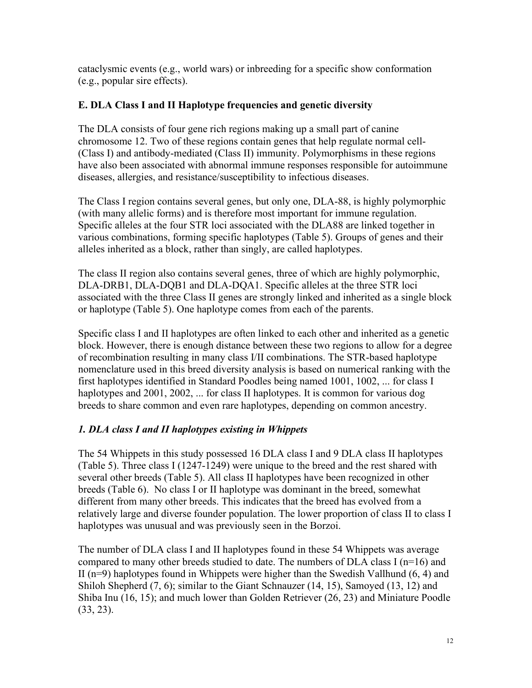cataclysmic events (e.g., world wars) or inbreeding for a specific show conformation (e.g., popular sire effects).

### **E. DLA Class I and II Haplotype frequencies and genetic diversity**

The DLA consists of four gene rich regions making up a small part of canine chromosome 12. Two of these regions contain genes that help regulate normal cell- (Class I) and antibody-mediated (Class II) immunity. Polymorphisms in these regions have also been associated with abnormal immune responses responsible for autoimmune diseases, allergies, and resistance/susceptibility to infectious diseases.

The Class I region contains several genes, but only one, DLA-88, is highly polymorphic (with many allelic forms) and is therefore most important for immune regulation. Specific alleles at the four STR loci associated with the DLA88 are linked together in various combinations, forming specific haplotypes (Table 5). Groups of genes and their alleles inherited as a block, rather than singly, are called haplotypes.

The class II region also contains several genes, three of which are highly polymorphic, DLA-DRB1, DLA-DQB1 and DLA-DQA1. Specific alleles at the three STR loci associated with the three Class II genes are strongly linked and inherited as a single block or haplotype (Table 5). One haplotype comes from each of the parents.

Specific class I and II haplotypes are often linked to each other and inherited as a genetic block. However, there is enough distance between these two regions to allow for a degree of recombination resulting in many class I/II combinations. The STR-based haplotype nomenclature used in this breed diversity analysis is based on numerical ranking with the first haplotypes identified in Standard Poodles being named 1001, 1002, ... for class I haplotypes and 2001, 2002, ... for class II haplotypes. It is common for various dog breeds to share common and even rare haplotypes, depending on common ancestry.

## *1. DLA class I and II haplotypes existing in Whippets*

The 54 Whippets in this study possessed 16 DLA class I and 9 DLA class II haplotypes (Table 5). Three class I (1247-1249) were unique to the breed and the rest shared with several other breeds (Table 5). All class II haplotypes have been recognized in other breeds (Table 6). No class I or II haplotype was dominant in the breed, somewhat different from many other breeds. This indicates that the breed has evolved from a relatively large and diverse founder population. The lower proportion of class II to class I haplotypes was unusual and was previously seen in the Borzoi.

The number of DLA class I and II haplotypes found in these 54 Whippets was average compared to many other breeds studied to date. The numbers of DLA class I (n=16) and II ( $n=9$ ) haplotypes found in Whippets were higher than the Swedish Vallhund (6, 4) and Shiloh Shepherd (7, 6); similar to the Giant Schnauzer (14, 15), Samoyed (13, 12) and Shiba Inu (16, 15); and much lower than Golden Retriever (26, 23) and Miniature Poodle (33, 23).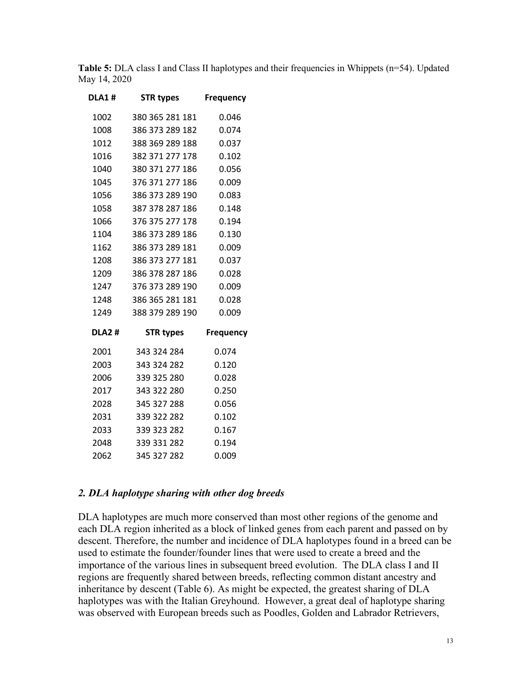**Table 5:** DLA class I and Class II haplotypes and their frequencies in Whippets (n=54). Updated May 14, 2020

| <b>DLA1#</b> | <b>STR types</b> | Frequency        |
|--------------|------------------|------------------|
| 1002         | 380 365 281 181  | 0.046            |
| 1008         | 386 373 289 182  | 0.074            |
| 1012         | 388 369 289 188  | 0.037            |
| 1016         | 382 371 277 178  | 0.102            |
| 1040         | 380 371 277 186  | 0.056            |
| 1045         | 376 371 277 186  | 0.009            |
| 1056         | 386 373 289 190  | 0.083            |
| 1058         | 387 378 287 186  | 0.148            |
| 1066         | 376 375 277 178  | 0.194            |
| 1104         | 386 373 289 186  | 0.130            |
| 1162         | 386 373 289 181  | 0.009            |
| 1208         | 386 373 277 181  | 0.037            |
| 1209         | 386 378 287 186  | 0.028            |
| 1247         | 376 373 289 190  | 0.009            |
| 1248         | 386 365 281 181  | 0.028            |
| 1249         | 388 379 289 190  | 0.009            |
| <b>DLA2#</b> | <b>STR types</b> | <b>Frequency</b> |
| 2001         | 343 324 284      | 0.074            |
| 2003         | 343 324 282      | 0.120            |
| 2006         | 339 325 280      | 0.028            |
| 2017         | 343 322 280      | 0.250            |
| 2028         | 345 327 288      | 0.056            |
| 2031         | 339 322 282      | 0.102            |
| 2033         | 339 323 282      | 0.167            |
| 2048         | 339 331 282      | 0.194            |
| 2062         | 345 327 282      | 0.009            |

#### *2. DLA haplotype sharing with other dog breeds*

DLA haplotypes are much more conserved than most other regions of the genome and each DLA region inherited as a block of linked genes from each parent and passed on by descent. Therefore, the number and incidence of DLA haplotypes found in a breed can be used to estimate the founder/founder lines that were used to create a breed and the importance of the various lines in subsequent breed evolution. The DLA class I and II regions are frequently shared between breeds, reflecting common distant ancestry and inheritance by descent (Table 6). As might be expected, the greatest sharing of DLA haplotypes was with the Italian Greyhound. However, a great deal of haplotype sharing was observed with European breeds such as Poodles, Golden and Labrador Retrievers,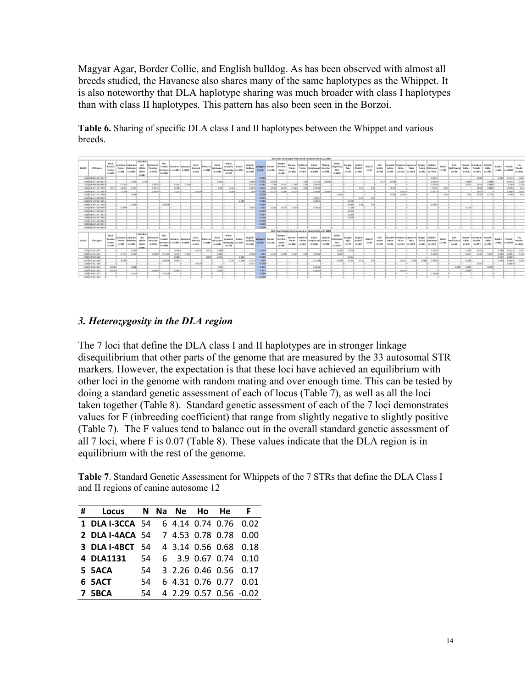Magyar Agar, Border Collie, and English bulldog. As has been observed with almost all breeds studied, the Havanese also shares many of the same haplotypes as the Whippet. It is also noteworthy that DLA haplotype sharing was much broader with class I haplotypes than with class II haplotypes. This pattern has also been seen in the Borzoi.

**Table 6.** Sharing of specific DLA class I and II haplotypes between the Whippet and various breeds.

|              |                       |                                                               |                                         |                                                           |                                                    |                                        |                                                        |       |                                                   |                                     |                               |                                           |                                                             |       |                                            |                                |                                |                                                                          |                                                    |                                            | DIA Class Hopf stage Pregum des Britiste d'May 12, 2020               |                        |                                                                      |                             |                                                            |                                        |                                  |                    |                                                                        |                           |                                |                                                  |                              |                                           |                           |                                               |                               |                           |                 |                                                           |
|--------------|-----------------------|---------------------------------------------------------------|-----------------------------------------|-----------------------------------------------------------|----------------------------------------------------|----------------------------------------|--------------------------------------------------------|-------|---------------------------------------------------|-------------------------------------|-------------------------------|-------------------------------------------|-------------------------------------------------------------|-------|--------------------------------------------|--------------------------------|--------------------------------|--------------------------------------------------------------------------|----------------------------------------------------|--------------------------------------------|-----------------------------------------------------------------------|------------------------|----------------------------------------------------------------------|-----------------------------|------------------------------------------------------------|----------------------------------------|----------------------------------|--------------------|------------------------------------------------------------------------|---------------------------|--------------------------------|--------------------------------------------------|------------------------------|-------------------------------------------|---------------------------|-----------------------------------------------|-------------------------------|---------------------------|-----------------|-----------------------------------------------------------|
| <b>DUALE</b> | STRIngers             | <b>Black</b><br><b>Rendant</b><br><b>Testing</b><br>Line 1891 | a ke tand<br><b>Testing</b><br>Line SMB | Librarien<br><b>Butzlewell</b><br>Line 2005               | [sub Ned]<br><b>ANG</b><br>Setter<br><b>Sunday</b> | Diction most<br>White Pinsche<br>24.70 | <b>Rist</b><br>Coded<br><b>Retainers</b><br>\$1,16,600 |       | Na san e c (Samoyed)<br>in Line (2061) Strategist | Saint<br><b>Bernard</b><br>$3 - 62$ | <b>Million</b> (W)<br>Div 200 | <b>Size</b><br>Schrauer<br><b>Bridget</b> | <b>R&amp;d</b><br>Lowbard<br>Sheepsing (m 227)<br>$3 - 4.9$ | Rogol | tinglish<br><b>Bulletog</b><br>84440       | <b>Whipped</b><br><b>Biddy</b> | <b>Risk sale</b> of<br>9-10.20 | <b>Elektrick</b><br><b>Noricities</b><br><b>Terrier</b><br><b>EX1000</b> | <b>Risk sport</b><br><b>Testing</b><br>De 380      | Trodubare:<br>Twidow<br><b>Bridge</b>      | <b>Rud Lan</b><br>Grey found   Kleentai<br>21/1903                    | Abade and<br>Line 630B | \$8.800<br>hitephore.<br><b>BGA</b><br><b>Environment</b>            | Magar<br><b>NH</b><br>Don't | tingkich.<br><b>Masta</b> <sup>1</sup><br><b>Condition</b> | Madd<br>(10.50)                        | sid.<br>Setter<br><b>JUNE RD</b> | Setter<br>Line Mdb | <b>De wel lin (nowrican) tapane ce</b><br><b>NAKA</b><br>(m-ag)        | nia                       | <b>Beger</b><br>(n=02.0 p=02)  | Guiden<br><b>Road Resiever</b><br><b>Envited</b> | <b>Golf Mr.</b><br>(no dift) | trich.<br><b>Moffraged</b><br>$($ rie 980 | Reader<br>Collin<br>9-440 | Ministum Scotich<br>Postle<br>(m-201) (m-201) | Collie                        | <b>Barbet</b><br>(41442)  | Pondie          | <b>Road</b> e<br>$\left.\text{mean}\right _{\text{mean}}$ |
|              | 100318086381181       |                                                               |                                         |                                                           |                                                    |                                        |                                                        |       |                                                   |                                     |                               |                                           |                                                             |       |                                            | <b>CLOSE</b>                   |                                |                                                                          |                                                    |                                            |                                                                       |                        |                                                                      |                             |                                                            |                                        |                                  |                    |                                                                        |                           |                                | 0.0001                                           |                              |                                           |                           | cocali                                        |                               |                           | $0.096$ 0.133.2 | $-0.00$                                                   |
|              | 1008 06:07 8:00:08:2  |                                                               |                                         | 0.068                                                     | 0.56                                               |                                        |                                                        |       |                                                   |                                     |                               | cost                                      |                                                             |       | <b>DUDIE</b>                               | 0.034                          |                                |                                                                          |                                                    | cost                                       | 0.1196                                                                | coust.                 |                                                                      |                             |                                                            |                                        | 011                              | cowi               |                                                                        |                           |                                | con el-                                          |                              |                                           | c.com                     |                                               | cost                          |                           | cosal           | 0.011                                                     |
|              | 1011136.84254233      |                                                               | <b>GT4T</b>                             |                                                           |                                                    | 0.0001                                 |                                                        |       | $CCDI$ $CCDI$                                     |                                     |                               |                                           |                                                             |       | 0.414                                      | 0.083                          | 0.29                           | <b>CISE</b>                                                              | 0.391                                              | 0.261                                      | 0.00(1)                                                               |                        |                                                                      |                             |                                                            |                                        |                                  |                    |                                                                        |                           |                                | com el-                                          |                              |                                           | <b>D.DEF</b>              | posel                                         | 0.001                         |                           | <b>C.IEN</b>    | 0.031                                                     |
|              | 106 800 127708        | com                                                           | cional                                  | c.cml-                                                    |                                                    | 0.01.71                                |                                                        | 0.201 |                                                   |                                     |                               | 0.08                                      | cost                                                        |       | cost                                       | 0.303                          | cozil                          |                                                                          | CLC/S6                                             | cost                                       | 0.0586                                                                |                        |                                                                      |                             | 0.38                                                       | tul-                                   |                                  | com-               |                                                                        |                           |                                | capal                                            | costi                        |                                           |                           | could                                         | cowi                          |                           | c.caval         | <b>CO</b>                                                 |
|              | 100310037127716       |                                                               | 0.28                                    |                                                           |                                                    | c.opsid                                |                                                        | cost  |                                                   | 0.016                               |                               |                                           | c.sal                                                       |       | cost                                       | 0.056                          | 0108                           | cost                                                                     | 0.031                                              |                                            |                                                                       | cossi cno-             |                                                                      |                             |                                                            |                                        |                                  |                    | cock                                                                   |                           |                                | 0.000                                            |                              |                                           |                           | cool                                          |                               |                           | oms             | 0.001                                                     |
|              | 10513537127785        |                                                               |                                         | cost                                                      |                                                    |                                        |                                                        |       |                                                   |                                     |                               |                                           |                                                             |       |                                            | <b>CLOCHE</b>                  |                                |                                                                          |                                                    |                                            |                                                                       |                        | cocal-                                                               |                             |                                                            |                                        |                                  | cons.              | cocel                                                                  |                           |                                |                                                  | cresi                        |                                           | cail                      | cional.                                       | 0.351                         |                           | 0.001           | CO1                                                       |
|              | 106 1863 18930        |                                                               |                                         |                                                           |                                                    |                                        |                                                        |       |                                                   |                                     |                               |                                           |                                                             |       |                                            | 0.003                          |                                |                                                                          |                                                    |                                            | consil                                                                |                        |                                                                      |                             | 0.38                                                       | eri-                                   |                                  |                    |                                                                        |                           |                                |                                                  |                              |                                           |                           |                                               |                               |                           |                 |                                                           |
|              | 1063187378.87385      |                                                               |                                         |                                                           |                                                    |                                        |                                                        |       |                                                   |                                     |                               |                                           |                                                             | 0.000 |                                            | 0.34%                          |                                |                                                                          |                                                    |                                            | 0.0031                                                                |                        |                                                                      | 0.100                       |                                                            |                                        |                                  |                    |                                                                        |                           |                                |                                                  |                              |                                           |                           |                                               |                               |                           |                 |                                                           |
|              | 10913-87527718        |                                                               |                                         | c.ms                                                      |                                                    |                                        | 0.0006                                                 |       |                                                   |                                     |                               |                                           |                                                             |       |                                            | 0.394                          |                                |                                                                          |                                                    |                                            |                                                                       |                        |                                                                      | ccost                       | 0.88                                                       | cal-                                   |                                  |                    |                                                                        |                           |                                | 0.2811                                           |                              |                                           |                           |                                               |                               |                           |                 |                                                           |
|              | 1301186373269366      |                                                               | <b>COMP</b>                             |                                                           |                                                    |                                        |                                                        |       |                                                   |                                     |                               |                                           |                                                             |       | C.IEV                                      | 033                            | <b>CONT</b>                    |                                                                          | COTH CON                                           |                                            | email                                                                 |                        |                                                                      | 0.14                        |                                                            |                                        |                                  |                    |                                                                        |                           |                                |                                                  |                              |                                           | 0.121                     |                                               |                               |                           |                 |                                                           |
|              | 110 060 120 121       |                                                               |                                         |                                                           |                                                    |                                        |                                                        |       |                                                   |                                     |                               |                                           |                                                             |       |                                            | <b>D.ODN</b>                   |                                |                                                                          |                                                    |                                            |                                                                       |                        |                                                                      | ce isl-                     |                                                            |                                        |                                  |                    |                                                                        |                           |                                |                                                  |                              |                                           |                           |                                               |                               |                           |                 |                                                           |
|              | 1206 126-37 827 728 1 |                                                               |                                         |                                                           |                                                    |                                        |                                                        |       |                                                   |                                     |                               |                                           |                                                             |       |                                            | 0.083                          |                                |                                                                          |                                                    |                                            |                                                                       |                        |                                                                      | com-                        |                                                            |                                        |                                  |                    |                                                                        |                           |                                |                                                  |                              |                                           |                           |                                               |                               |                           |                 |                                                           |
|              | 120110-078-0723-      |                                                               |                                         |                                                           |                                                    |                                        |                                                        |       |                                                   |                                     |                               |                                           |                                                             |       |                                            | <b>CLOSE</b>                   |                                |                                                                          |                                                    |                                            |                                                                       |                        |                                                                      | <b>COST</b>                 |                                                            |                                        |                                  |                    |                                                                        |                           |                                |                                                  |                              |                                           |                           |                                               |                               |                           |                 |                                                           |
|              | 120113-012-059-010    |                                                               |                                         |                                                           |                                                    |                                        |                                                        |       |                                                   |                                     |                               |                                           |                                                             |       |                                            | <b>CLOCHE</b>                  |                                |                                                                          |                                                    |                                            |                                                                       |                        |                                                                      |                             |                                                            |                                        |                                  |                    |                                                                        |                           |                                |                                                  |                              |                                           |                           |                                               |                               |                           |                 |                                                           |
|              | 120310-0-5261181      |                                                               |                                         |                                                           |                                                    |                                        |                                                        |       |                                                   |                                     |                               |                                           |                                                             |       |                                            | <b>D.DES</b>                   |                                |                                                                          |                                                    |                                            |                                                                       |                        |                                                                      |                             |                                                            |                                        |                                  |                    |                                                                        |                           |                                |                                                  |                              |                                           |                           |                                               |                               |                           |                 |                                                           |
|              | 1200108-019-059-060   |                                                               |                                         |                                                           |                                                    |                                        |                                                        |       |                                                   |                                     |                               |                                           |                                                             |       |                                            | <b>CLOCHE</b>                  |                                |                                                                          |                                                    |                                            |                                                                       |                        |                                                                      |                             |                                                            |                                        |                                  |                    |                                                                        |                           |                                |                                                  |                              |                                           |                           |                                               |                               |                           |                 |                                                           |
|              |                       |                                                               |                                         |                                                           |                                                    |                                        |                                                        |       |                                                   |                                     |                               |                                           |                                                             |       |                                            |                                |                                |                                                                          |                                                    |                                            | DIA Class (1) Racio Copy of an operation (1) and stock Mary 22, 20219 |                        |                                                                      |                             |                                                            |                                        |                                  |                    |                                                                        |                           |                                |                                                  |                              |                                           |                           |                                               |                               |                           |                 |                                                           |
| <b>DIA17</b> | STRINGERS             | <b>Black</b><br><b>Render</b><br><b>Testing</b><br>(m-189)    | steted<br>Line SMA                      | <b>Libra der</b><br><b>Series Retrieved</b><br>Line pitch | sun mel<br>2010<br>Setter<br><b>Strategic</b>      | Dobwega<br>White Pinscher<br>1.628     | Ric<br>Council<br><b>Retziewer</b><br>21106-008        |       | Hasanes Samoyed<br>in Eine OWED Bringship         | Saint<br><b>Bernard</b><br>$3 - 62$ | Shibatrul<br>Dec 200          | <b>Giart</b><br>Schraueri<br>$3 - 230$    | Poli (d)<br>Lowbed<br>Sheepsing (m 337)<br>$3 - 48$         | Rogol | <b>Srigfish</b><br><b>Bulldog</b><br>9-140 | <b>Bind</b>                    | Whippet Rieser<br>8:420        | <b>Bigger</b><br><b>Norship</b><br><b>Terrier</b><br><b>Excelled</b>     | <b>Risk spots</b><br><b>Testier</b><br>Deed \$260. | <b>Trodubire</b><br>Tenter<br><b>Buddy</b> | Eat lan-<br>Greyfound Elevator<br>31,490                              | Abdul an<br>Line 6300  | \$9.800<br>hite plend.<br><b>DO</b> <sub>A</sub><br><b>Institute</b> | Magair<br>npr<br>Director.  | <b>Srakich</b><br><b>Maddi</b><br>Director                 | Mad2 <sup>1</sup><br><b>Cirie Sill</b> | trich.<br>Setter<br><b>SHOW</b>  | SHIM<br>East Mdb   | Lie wel list putters ica it (Daparte ce)<br><b>Nika</b><br>Director in | <b>Nika</b><br>Director 1 | <b>Beger</b><br><b>Build 3</b> | Guiden<br><b>Road Resiever</b><br><b>Gradual</b> | <b>Galler</b><br>Line OM     | trich.<br>Widthand<br><b>Env 98</b>       | Bandar<br>Collie<br>9-440 | Ministum Scotich<br>Postle                    | Collie<br>Deadlers   Deadlers | <b>Barbet</b><br>Domain 3 | Pondie          | Rode<br><b>Sizing</b> [Baltimage                          |
|              | <b>JOSE RANGERS</b>   |                                                               |                                         | cost                                                      |                                                    |                                        |                                                        | cost  |                                                   | 0.016                               | consi                         | cost                                      |                                                             |       |                                            | 0.074                          |                                |                                                                          |                                                    |                                            |                                                                       |                        | cicios.                                                              | coin                        |                                                            |                                        |                                  |                    |                                                                        |                           |                                | C 250 H                                          |                              |                                           | 0.331                     | cosi                                          |                               | C. 200                    | <b>CREED</b>    | $-0.00$                                                   |
|              | <b>JOSEAU AREA</b>    |                                                               | 0.747                                   | 0.026                                                     |                                                    |                                        | $0.0001$ $0.3881$                                      | 0.226 | CLCSA                                             |                                     |                               | cost                                      |                                                             |       | c.ses!                                     | 012                            | <b>CLEVEL</b>                  | cural                                                                    | 0.361                                              | call                                       | 0.0098                                                                |                        | ceer).                                                               |                             |                                                            |                                        |                                  |                    |                                                                        |                           |                                | costs                                            |                              |                                           | c.pel                     | 05.38                                         | 0.031                         | 0.381                     | cos i           | 0.621                                                     |
|              | 2006年度以下发现            |                                                               |                                         |                                                           |                                                    |                                        |                                                        | C(1)  |                                                   |                                     |                               | $csc1 - csc$                              |                                                             | 0.06  |                                            | <b>Output</b>                  |                                |                                                                          |                                                    |                                            |                                                                       |                        |                                                                      | 01963                       |                                                            |                                        |                                  |                    |                                                                        |                           |                                |                                                  |                              |                                           |                           |                                               |                               | <b>CODY</b>               | cousi-          |                                                           |
|              | JOU HAND JOSO         |                                                               | cowi                                    |                                                           |                                                    |                                        | c.cccsi                                                | 0.000 |                                                   |                                     |                               |                                           | 0.88                                                        | c.com | 0.315                                      | <b>CUS</b>                     |                                |                                                                          |                                                    |                                            | 0.3186                                                                |                        | <b>CLASS</b>                                                         | C-155                       | 0.38                                                       | ezi-                                   |                                  |                    | com                                                                    | 0.005                     | 0.056                          | c.ocw                                            |                              |                                           | 0.306                     |                                               |                               | c.cml                     | com             | 0.001                                                     |
|              | 2020 145 327 258      |                                                               |                                         |                                                           |                                                    |                                        |                                                        |       |                                                   | 0.016                               |                               |                                           |                                                             |       | 0.087                                      | 0.056                          |                                |                                                                          |                                                    |                                            |                                                                       |                        |                                                                      |                             |                                                            |                                        |                                  |                    |                                                                        |                           |                                |                                                  |                              |                                           |                           | ceeri-                                        |                               |                           | consi-          |                                                           |
|              | 200 8832282           | cowi                                                          |                                         | 0.008                                                     |                                                    |                                        |                                                        |       |                                                   |                                     |                               | 0.08                                      |                                                             |       |                                            | 0.303                          |                                |                                                                          |                                                    |                                            | 0.0588                                                                |                        |                                                                      |                             |                                                            |                                        |                                  |                    |                                                                        |                           |                                |                                                  |                              | c.com                                     | 0.008                     |                                               | c.com                         |                           |                 |                                                           |
|              | 2003 89323262         | complete                                                      |                                         |                                                           |                                                    | c.cocili                               |                                                        | 0.000 |                                                   |                                     |                               | ci cest                                   |                                                             |       |                                            | 0.363                          |                                |                                                                          |                                                    |                                            | 0.0082                                                                |                        |                                                                      |                             |                                                            |                                        |                                  |                    | datase                                                                 |                           |                                |                                                  |                              |                                           | curs)                     |                                               |                               |                           |                 |                                                           |
|              | 200810931282          |                                                               |                                         | c.stel-                                                   |                                                    |                                        | 0.0006                                                 |       |                                                   |                                     |                               |                                           |                                                             |       |                                            | 0.294                          |                                |                                                                          |                                                    |                                            |                                                                       |                        |                                                                      |                             |                                                            |                                        |                                  |                    |                                                                        |                           |                                | <b>CASES</b>                                     |                              |                                           |                           |                                               |                               |                           |                 |                                                           |
|              | 2002 146 327 262      |                                                               |                                         |                                                           |                                                    |                                        |                                                        |       |                                                   |                                     |                               |                                           |                                                             |       |                                            | <b>D.DOM</b>                   |                                |                                                                          |                                                    |                                            |                                                                       |                        |                                                                      |                             |                                                            |                                        |                                  |                    |                                                                        |                           |                                |                                                  |                              |                                           |                           |                                               |                               |                           |                 |                                                           |

#### *3. Heterozygosity in the DLA region*

The 7 loci that define the DLA class I and II haplotypes are in stronger linkage disequilibrium that other parts of the genome that are measured by the 33 autosomal STR markers. However, the expectation is that these loci have achieved an equilibrium with other loci in the genome with random mating and over enough time. This can be tested by doing a standard genetic assessment of each of locus (Table 7), as well as all the loci taken together (Table 8). Standard genetic assessment of each of the 7 loci demonstrates values for F (inbreeding coefficient) that range from slightly negative to slightly positive (Table 7). The F values tend to balance out in the overall standard genetic assessment of all 7 loci, where F is 0.07 (Table 8). These values indicate that the DLA region is in equilibrium with the rest of the genome.

**Table 7**. Standard Genetic Assessment for Whippets of the 7 STRs that define the DLA Class I and II regions of canine autosome 12

| # | Locus N Na Ne Ho He                          |      |  |                       | - F                      |
|---|----------------------------------------------|------|--|-----------------------|--------------------------|
|   | <b>1 DLA I-3CCA 54</b>                       |      |  |                       | 6 4.14 0.74 0.76 0.02    |
|   | <b>2 DLA I-4ACA 54 7 4.53 0.78 0.78 0.00</b> |      |  |                       |                          |
|   | <b>3 DLA I-4BCT</b> 54                       |      |  |                       | 4 3.14 0.56 0.68 0.18    |
|   | 4 DLA1131 54                                 |      |  |                       | 6 3.9 0.67 0.74 0.10     |
|   | 5 5ACA                                       |      |  |                       | 54 3 2.26 0.46 0.56 0.17 |
|   | 6 5ACT                                       | 54 - |  | 6 4.31 0.76 0.77 0.01 |                          |
|   | <b>7 5BCA</b>                                | 54.  |  |                       | 4 2.29 0.57 0.56 -0.02   |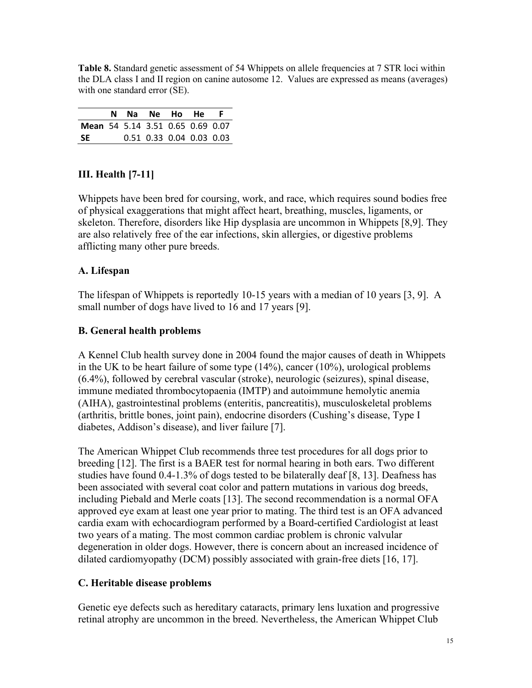**Table 8.** Standard genetic assessment of 54 Whippets on allele frequencies at 7 STR loci within the DLA class I and II region on canine autosome 12. Values are expressed as means (averages) with one standard error (SE).

|                                  |  |  | N Na Ne Ho He F          |  |
|----------------------------------|--|--|--------------------------|--|
| Mean 54 5.14 3.51 0.65 0.69 0.07 |  |  |                          |  |
| -SE                              |  |  | 0.51 0.33 0.04 0.03 0.03 |  |

## **III. Health [7-11]**

Whippets have been bred for coursing, work, and race, which requires sound bodies free of physical exaggerations that might affect heart, breathing, muscles, ligaments, or skeleton. Therefore, disorders like Hip dysplasia are uncommon in Whippets [8,9]. They are also relatively free of the ear infections, skin allergies, or digestive problems afflicting many other pure breeds.

## **A. Lifespan**

The lifespan of Whippets is reportedly 10-15 years with a median of 10 years [3, 9]. A small number of dogs have lived to 16 and 17 years [9].

## **B. General health problems**

A Kennel Club health survey done in 2004 found the major causes of death in Whippets in the UK to be heart failure of some type (14%), cancer (10%), urological problems (6.4%), followed by cerebral vascular (stroke), neurologic (seizures), spinal disease, immune mediated thrombocytopaenia (IMTP) and autoimmune hemolytic anemia (AIHA), gastrointestinal problems (enteritis, pancreatitis), musculoskeletal problems (arthritis, brittle bones, joint pain), endocrine disorders (Cushing's disease, Type I diabetes, Addison's disease), and liver failure [7].

The American Whippet Club recommends three test procedures for all dogs prior to breeding [12]. The first is a BAER test for normal hearing in both ears. Two different studies have found 0.4-1.3% of dogs tested to be bilaterally deaf [8, 13]. Deafness has been associated with several coat color and pattern mutations in various dog breeds, including Piebald and Merle coats [13]. The second recommendation is a normal OFA approved eye exam at least one year prior to mating. The third test is an OFA advanced cardia exam with echocardiogram performed by a Board-certified Cardiologist at least two years of a mating. The most common cardiac problem is chronic valvular degeneration in older dogs. However, there is concern about an increased incidence of dilated cardiomyopathy (DCM) possibly associated with grain-free diets [16, 17].

## **C. Heritable disease problems**

Genetic eye defects such as hereditary cataracts, primary lens luxation and progressive retinal atrophy are uncommon in the breed. Nevertheless, the American Whippet Club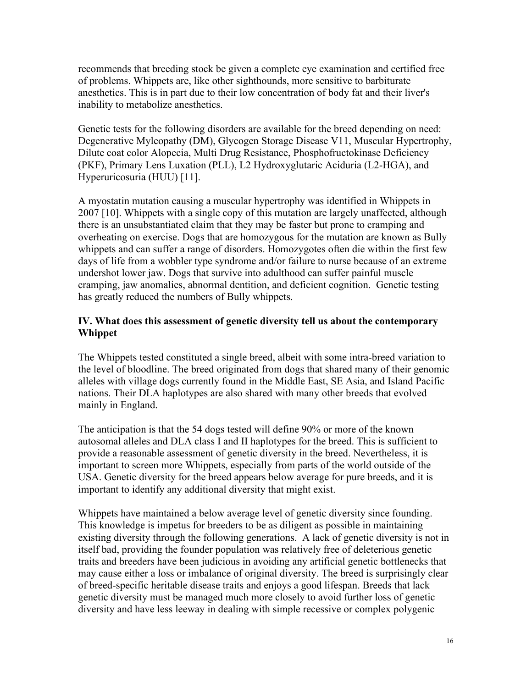recommends that breeding stock be given a complete eye examination and certified free of problems. Whippets are, like other sighthounds, more sensitive to barbiturate anesthetics. This is in part due to their low concentration of body fat and their liver's inability to metabolize anesthetics.

Genetic tests for the following disorders are available for the breed depending on need: Degenerative Myleopathy (DM), Glycogen Storage Disease V11, Muscular Hypertrophy, Dilute coat color Alopecia, Multi Drug Resistance, Phosphofructokinase Deficiency (PKF), Primary Lens Luxation (PLL), L2 Hydroxyglutaric Aciduria (L2-HGA), and Hyperuricosuria (HUU) [11].

A myostatin mutation causing a muscular hypertrophy was identified in Whippets in 2007 [10]. Whippets with a single copy of this mutation are largely unaffected, although there is an unsubstantiated claim that they may be faster but prone to cramping and overheating on exercise. Dogs that are homozygous for the mutation are known as Bully whippets and can suffer a range of disorders. Homozygotes often die within the first few days of life from a wobbler type syndrome and/or failure to nurse because of an extreme undershot lower jaw. Dogs that survive into adulthood can suffer painful muscle cramping, jaw anomalies, abnormal dentition, and deficient cognition. Genetic testing has greatly reduced the numbers of Bully whippets.

### **IV. What does this assessment of genetic diversity tell us about the contemporary Whippet**

The Whippets tested constituted a single breed, albeit with some intra-breed variation to the level of bloodline. The breed originated from dogs that shared many of their genomic alleles with village dogs currently found in the Middle East, SE Asia, and Island Pacific nations. Their DLA haplotypes are also shared with many other breeds that evolved mainly in England.

The anticipation is that the 54 dogs tested will define 90% or more of the known autosomal alleles and DLA class I and II haplotypes for the breed. This is sufficient to provide a reasonable assessment of genetic diversity in the breed. Nevertheless, it is important to screen more Whippets, especially from parts of the world outside of the USA. Genetic diversity for the breed appears below average for pure breeds, and it is important to identify any additional diversity that might exist.

Whippets have maintained a below average level of genetic diversity since founding. This knowledge is impetus for breeders to be as diligent as possible in maintaining existing diversity through the following generations. A lack of genetic diversity is not in itself bad, providing the founder population was relatively free of deleterious genetic traits and breeders have been judicious in avoiding any artificial genetic bottlenecks that may cause either a loss or imbalance of original diversity. The breed is surprisingly clear of breed-specific heritable disease traits and enjoys a good lifespan. Breeds that lack genetic diversity must be managed much more closely to avoid further loss of genetic diversity and have less leeway in dealing with simple recessive or complex polygenic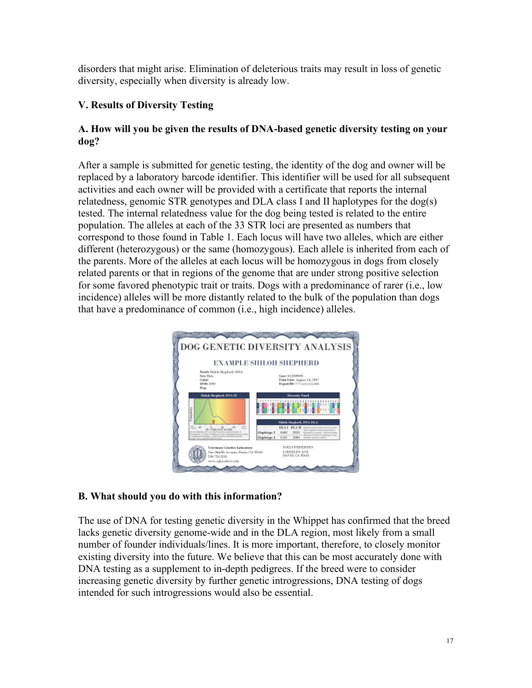disorders that might arise. Elimination of deleterious traits may result in loss of genetic diversity, especially when diversity is already low.

## **V. Results of Diversity Testing**

### **A. How will you be given the results of DNA-based genetic diversity testing on your dog?**

After a sample is submitted for genetic testing, the identity of the dog and owner will be replaced by a laboratory barcode identifier. This identifier will be used for all subsequent activities and each owner will be provided with a certificate that reports the internal relatedness, genomic STR genotypes and DLA class I and II haplotypes for the dog(s) tested. The internal relatedness value for the dog being tested is related to the entire population. The alleles at each of the 33 STR loci are presented as numbers that correspond to those found in Table 1. Each locus will have two alleles, which are either different (heterozygous) or the same (homozygous). Each allele is inherited from each of the parents. More of the alleles at each locus will be homozygous in dogs from closely related parents or that in regions of the genome that are under strong positive selection for some favored phenotypic trait or traits. Dogs with a predominance of rarer (i.e., low incidence) alleles will be more distantly related to the bulk of the population than dogs that have a predominance of common (i.e., high incidence) alleles.



## **B. What should you do with this information?**

The use of DNA for testing genetic diversity in the Whippet has confirmed that the breed lacks genetic diversity genome-wide and in the DLA region, most likely from a small number of founder individuals/lines. It is more important, therefore, to closely monitor existing diversity into the future. We believe that this can be most accurately done with DNA testing as a supplement to in-depth pedigrees. If the breed were to consider increasing genetic diversity by further genetic introgressions, DNA testing of dogs intended for such introgressions would also be essential.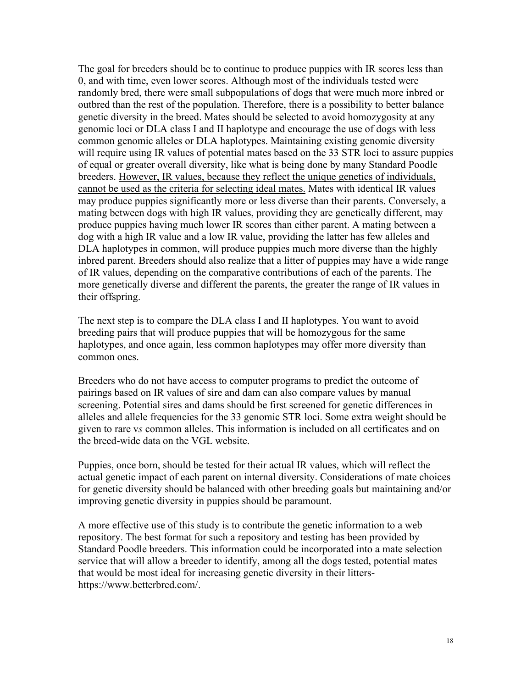The goal for breeders should be to continue to produce puppies with IR scores less than 0, and with time, even lower scores. Although most of the individuals tested were randomly bred, there were small subpopulations of dogs that were much more inbred or outbred than the rest of the population. Therefore, there is a possibility to better balance genetic diversity in the breed. Mates should be selected to avoid homozygosity at any genomic loci or DLA class I and II haplotype and encourage the use of dogs with less common genomic alleles or DLA haplotypes. Maintaining existing genomic diversity will require using IR values of potential mates based on the 33 STR loci to assure puppies of equal or greater overall diversity, like what is being done by many Standard Poodle breeders. However, IR values, because they reflect the unique genetics of individuals, cannot be used as the criteria for selecting ideal mates. Mates with identical IR values may produce puppies significantly more or less diverse than their parents. Conversely, a mating between dogs with high IR values, providing they are genetically different, may produce puppies having much lower IR scores than either parent. A mating between a dog with a high IR value and a low IR value, providing the latter has few alleles and DLA haplotypes in common, will produce puppies much more diverse than the highly inbred parent. Breeders should also realize that a litter of puppies may have a wide range of IR values, depending on the comparative contributions of each of the parents. The more genetically diverse and different the parents, the greater the range of IR values in their offspring.

The next step is to compare the DLA class I and II haplotypes. You want to avoid breeding pairs that will produce puppies that will be homozygous for the same haplotypes, and once again, less common haplotypes may offer more diversity than common ones.

Breeders who do not have access to computer programs to predict the outcome of pairings based on IR values of sire and dam can also compare values by manual screening. Potential sires and dams should be first screened for genetic differences in alleles and allele frequencies for the 33 genomic STR loci. Some extra weight should be given to rare v*s* common alleles. This information is included on all certificates and on the breed-wide data on the VGL website.

Puppies, once born, should be tested for their actual IR values, which will reflect the actual genetic impact of each parent on internal diversity. Considerations of mate choices for genetic diversity should be balanced with other breeding goals but maintaining and/or improving genetic diversity in puppies should be paramount.

A more effective use of this study is to contribute the genetic information to a web repository. The best format for such a repository and testing has been provided by Standard Poodle breeders. This information could be incorporated into a mate selection service that will allow a breeder to identify, among all the dogs tested, potential mates that would be most ideal for increasing genetic diversity in their littershttps://www.betterbred.com/.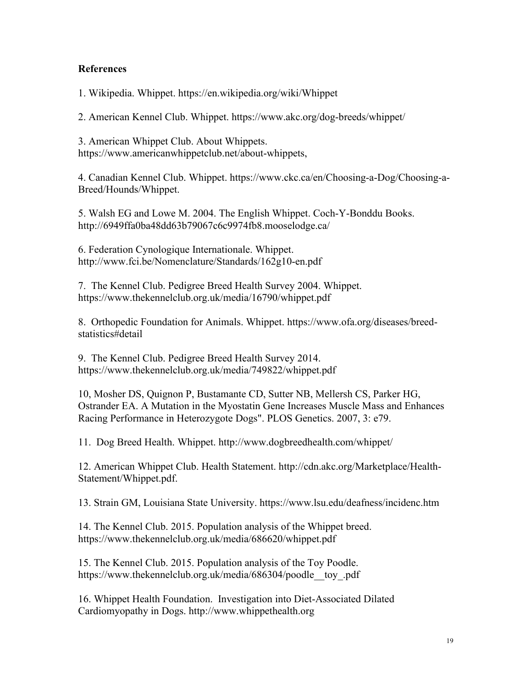#### **References**

1. Wikipedia. Whippet. https://en.wikipedia.org/wiki/Whippet

2. American Kennel Club. Whippet. https://www.akc.org/dog-breeds/whippet/

3. American Whippet Club. About Whippets. https://www.americanwhippetclub.net/about-whippets,

4. Canadian Kennel Club. Whippet. https://www.ckc.ca/en/Choosing-a-Dog/Choosing-a-Breed/Hounds/Whippet.

5. Walsh EG and Lowe M. 2004. The English Whippet. Coch-Y-Bonddu Books. http://6949ffa0ba48dd63b79067c6c9974fb8.mooselodge.ca/

6. Federation Cynologique Internationale. Whippet. http://www.fci.be/Nomenclature/Standards/162g10-en.pdf

7. The Kennel Club. Pedigree Breed Health Survey 2004. Whippet. https://www.thekennelclub.org.uk/media/16790/whippet.pdf

8. Orthopedic Foundation for Animals. Whippet. https://www.ofa.org/diseases/breedstatistics#detail

9. The Kennel Club. Pedigree Breed Health Survey 2014. https://www.thekennelclub.org.uk/media/749822/whippet.pdf

10, Mosher DS, Quignon P, Bustamante CD, Sutter NB, Mellersh CS, Parker HG, Ostrander EA. A Mutation in the Myostatin Gene Increases Muscle Mass and Enhances Racing Performance in Heterozygote Dogs". PLOS Genetics. 2007, 3: e79.

11. Dog Breed Health. Whippet. http://www.dogbreedhealth.com/whippet/

12. American Whippet Club. Health Statement. http://cdn.akc.org/Marketplace/Health-Statement/Whippet.pdf.

13. Strain GM, Louisiana State University. https://www.lsu.edu/deafness/incidenc.htm

14. The Kennel Club. 2015. Population analysis of the Whippet breed. https://www.thekennelclub.org.uk/media/686620/whippet.pdf

15. The Kennel Club. 2015. Population analysis of the Toy Poodle. https://www.thekennelclub.org.uk/media/686304/poodle toy.pdf

16. Whippet Health Foundation. Investigation into Diet-Associated Dilated Cardiomyopathy in Dogs. http://www.whippethealth.org